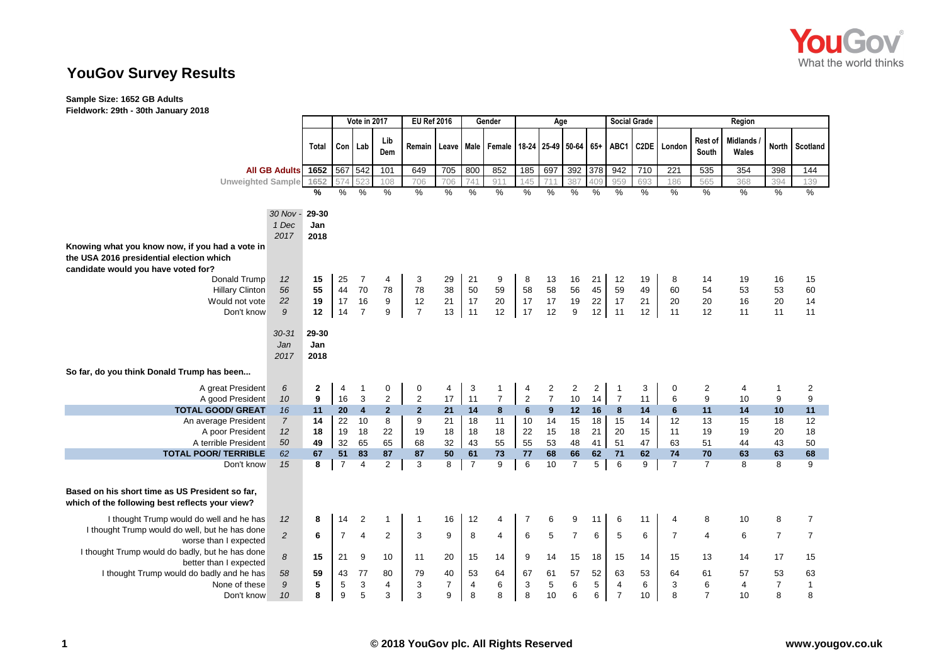

# **YouGov Survey Results**

## **Sample Size: 1652 GB Adults**

**Fieldwork: 29th - 30th January 2018**

|                                                                                                    |                          |                      | Vote in 2017   |                         | <b>EU Ref 2016</b> |                | Gender         |                |                   | Age            |                            |                | <b>Social Grade</b> |                |      |                |                  | Region                   |                |                |
|----------------------------------------------------------------------------------------------------|--------------------------|----------------------|----------------|-------------------------|--------------------|----------------|----------------|----------------|-------------------|----------------|----------------------------|----------------|---------------------|----------------|------|----------------|------------------|--------------------------|----------------|----------------|
|                                                                                                    |                          | Total                | Con   Lab      |                         | Lib<br>Dem         | Remain         |                |                | Leave Male Female |                | 18-24 25-49 50-64 65+ ABC1 |                |                     |                |      | C2DE London    | Rest of<br>South | <b>Midlands</b><br>Wales |                | North Scotland |
|                                                                                                    | <b>All GB Adults</b>     | 1652                 | 567 542        |                         | 101                | 649            | 705            | 800            | 852               | 185            | 697                        | 392 378        |                     | 942            | 710  | 221            | 535              | 354                      | 398            | 144            |
| <b>Unweighted Sample</b>                                                                           |                          | 1652                 | 574            |                         | 108                | 706            | 706            | 741            | 911               | 145            | 711                        | 387            | 409                 | 959            | 693  | 186            | 565              | 368                      | 394            | 139            |
|                                                                                                    |                          | %                    | $\frac{9}{6}$  | $\frac{0}{0}$           | $\%$               | $\frac{0}{0}$  | $\%$           | $\frac{0}{0}$  | $\%$              | %              | $\frac{0}{6}$              | $\%$           | $\frac{9}{6}$       | $\frac{0}{0}$  | $\%$ | $\%$           | $\frac{0}{6}$    | $\%$                     | $\%$           | %              |
|                                                                                                    |                          |                      |                |                         |                    |                |                |                |                   |                |                            |                |                     |                |      |                |                  |                          |                |                |
|                                                                                                    | 30 Nov -                 | 29-30                |                |                         |                    |                |                |                |                   |                |                            |                |                     |                |      |                |                  |                          |                |                |
|                                                                                                    | 1 Dec                    | Jan                  |                |                         |                    |                |                |                |                   |                |                            |                |                     |                |      |                |                  |                          |                |                |
| Knowing what you know now, if you had a vote in                                                    | 2017                     | 2018                 |                |                         |                    |                |                |                |                   |                |                            |                |                     |                |      |                |                  |                          |                |                |
| the USA 2016 presidential election which                                                           |                          |                      |                |                         |                    |                |                |                |                   |                |                            |                |                     |                |      |                |                  |                          |                |                |
| candidate would you have voted for?                                                                |                          |                      |                |                         |                    |                |                |                |                   |                |                            |                |                     |                |      |                |                  |                          |                |                |
| Donald Trump                                                                                       | 12                       | 15                   | 25             | $\overline{7}$          | 4                  | 3              | 29             | 21             | 9                 | 8              | 13                         | 16             | 21                  | 12             | 19   | 8              | 14               | 19                       | 16             | 15             |
| <b>Hillary Clinton</b>                                                                             | 56                       | 55                   | 44             | 70                      | 78                 | 78             | 38             | 50             | 59                | 58             | 58                         | 56             | 45                  | 59             | 49   | 60             | 54               | 53                       | 53             | 60             |
| Would not vote                                                                                     | 22                       | 19                   | 17             | 16                      | 9                  | 12             | 21             | 17             | 20                | 17             | 17                         | 19             | 22                  | 17             | 21   | 20             | 20               | 16                       | 20             | 14             |
| Don't know                                                                                         | 9                        | 12                   | 14             | $\overline{7}$          | 9                  | $\overline{7}$ | 13             | 11             | 12                | 17             | 12                         | 9              | 12                  | 11             | 12   | 11             | 12               | 11                       | 11             | 11             |
|                                                                                                    | $30 - 31$<br>Jan<br>2017 | 29-30<br>Jan<br>2018 |                |                         |                    |                |                |                |                   |                |                            |                |                     |                |      |                |                  |                          |                |                |
| So far, do you think Donald Trump has been                                                         |                          |                      |                |                         |                    |                |                |                |                   |                |                            |                |                     |                |      |                |                  |                          |                |                |
| A great President                                                                                  | 6                        | $\mathbf{2}$         | 4              | $\mathbf{1}$            | 0                  | 0              | 4              | 3              | $\mathbf{1}$      | 4              | 2                          | $\overline{2}$ | $\overline{2}$      | $\mathbf{1}$   | 3    | 0              | $\overline{2}$   | 4                        | $\mathbf{1}$   | $\overline{c}$ |
| A good President                                                                                   | 10                       | 9                    | 16             | 3                       | $\overline{2}$     | $\sqrt{2}$     | 17             | 11             | $\overline{7}$    | $\sqrt{2}$     | $\overline{7}$             | 10             | 14                  | $\overline{7}$ | 11   | 6              | $\boldsymbol{9}$ | 10                       | 9              | 9              |
| <b>TOTAL GOOD/ GREAT</b>                                                                           | 16                       | 11                   | 20             | 4                       | $\mathbf{2}$       | $\mathbf{2}$   | 21             | 14             | 8                 | $6\phantom{a}$ | 9                          | 12             | 16                  | 8              | 14   | 6              | 11               | 14                       | 10             | 11             |
| An average President                                                                               | $\overline{7}$           | 14                   | 22             | 10                      | 8                  | 9              | 21             | 18             | 11                | 10             | 14                         | 15             | 18                  | 15             | 14   | 12             | 13               | 15                       | 18             | 12             |
| A poor President                                                                                   | 12                       | 18                   | 19             | 18                      | 22                 | 19             | 18             | 18             | 18                | 22             | 15                         | 18             | 21                  | 20             | 15   | 11             | 19               | 19                       | 20             | 18             |
| A terrible President                                                                               | 50                       | 49                   | 32             | 65                      | 65                 | 68             | 32             | 43             | 55                | 55             | 53                         | 48             | 41                  | 51             | 47   | 63             | 51               | 44                       | 43             | 50             |
| <b>TOTAL POOR/ TERRIBLE</b>                                                                        | 62                       | 67                   | 51             | 83                      | 87                 | 87             | 50             | 61             | 73                | 77             | 68                         | 66             | 62                  | 71             | 62   | 74             | 70               | 63                       | 63             | 68             |
| Don't know                                                                                         | 15                       | 8                    | $\overline{7}$ | 4                       | $\overline{2}$     | 3              | 8              | $\overline{7}$ | 9                 | 6              | 10                         | $\overline{7}$ | 5                   | 6              | 9    | $\overline{7}$ | $\overline{7}$   | 8                        | 8              | 9              |
| Based on his short time as US President so far,<br>which of the following best reflects your view? |                          |                      |                |                         |                    |                |                |                |                   |                |                            |                |                     |                |      |                |                  |                          |                |                |
| I thought Trump would do well and he has                                                           | 12                       | 8                    | 14             | $\overline{\mathbf{c}}$ |                    | $\mathbf{1}$   | 16             | 12             | 4                 | 7              | 6                          | 9              | 11                  | 6              | 11   | 4              | 8                | 10                       | 8              | $\overline{7}$ |
| I thought Trump would do well, but he has done                                                     |                          |                      |                |                         | 2                  | 3              | 9              |                |                   |                | 5                          | $\overline{7}$ |                     | 5              |      | $\overline{7}$ |                  | 6                        | $\overline{7}$ |                |
| worse than I expected                                                                              | $\overline{c}$           | 6                    | $\overline{7}$ | $\overline{4}$          |                    |                |                | 8              | $\overline{4}$    | 6              |                            |                | 6                   |                | 6    |                | $\overline{4}$   |                          |                | $\overline{7}$ |
| I thought Trump would do badly, but he has done<br>better than I expected                          | 8                        | 15                   | 21             | 9                       | 10                 | 11             | 20             | 15             | 14                | 9              | 14                         | 15             | 18                  | 15             | 14   | 15             | 13               | 14                       | 17             | 15             |
| I thought Trump would do badly and he has                                                          | 58                       | 59                   | 43             | 77                      | 80                 | 79             | 40             | 53             | 64                | 67             | 61                         | 57             | 52                  | 63             | 53   | 64             | 61               | 57                       | 53             | 63             |
| None of these                                                                                      | 9                        | 5                    | 5              | 3                       | 4                  | 3              | $\overline{7}$ | 4              | 6                 | 3              | 5                          | 6              | 5                   | 4              | 6    | 3              | $\,6$            | $\overline{4}$           | $\overline{7}$ | $\overline{1}$ |
| Don't know                                                                                         | 10                       | 8                    | 9              | 5                       | 3                  | 3              | 9              | 8              | 8                 | 8              | 10                         | 6              | 6                   | $\overline{7}$ | 10   | 8              | $\overline{7}$   | 10                       | 8              | 8              |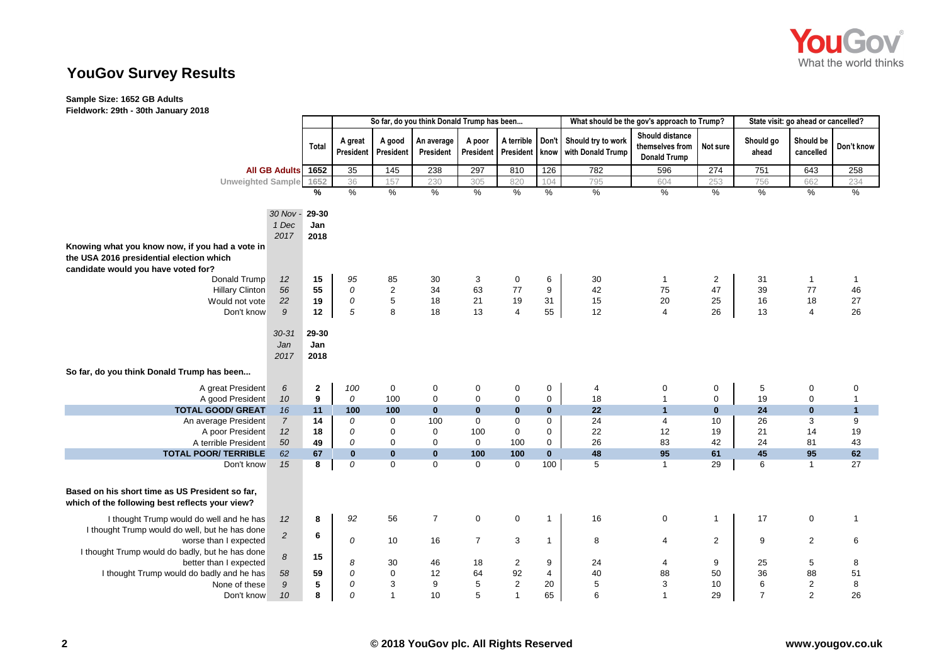

# **YouGov Survey Results**

### **Sample Size: 1652 GB Adults**

**Fieldwork: 29th - 30th January 2018**

|                                                                                                                                    |                          | So far, do you think Donald Trump has been |                      |                     |                         |                     |                         |               | What should be the gov's approach to Trump? | State visit: go ahead or cancelled?                              |             |                    |                        |                |
|------------------------------------------------------------------------------------------------------------------------------------|--------------------------|--------------------------------------------|----------------------|---------------------|-------------------------|---------------------|-------------------------|---------------|---------------------------------------------|------------------------------------------------------------------|-------------|--------------------|------------------------|----------------|
|                                                                                                                                    |                          | Total                                      | A great<br>President | A good<br>President | An average<br>President | A poor<br>President | A terrible<br>President | Don't<br>know | Should try to work<br>with Donald Trump     | <b>Should distance</b><br>themselves from<br><b>Donald Trump</b> | Not sure    | Should go<br>ahead | Should be<br>cancelled | Don't know     |
|                                                                                                                                    | <b>All GB Adults</b>     | 1652                                       | 35                   | 145                 | 238                     | 297                 | 810                     | 126           | 782                                         | 596                                                              | 274         | 751                | 643                    | 258            |
| <b>Unweighted Sample</b>                                                                                                           |                          | 1652                                       | 36                   | 157                 | 230                     | 305                 | 820                     | 104           | 795                                         | 604                                                              | 253         | 756                | 662                    | 234            |
|                                                                                                                                    |                          | %                                          | $\%$                 | $\%$                | $\%$                    | $\%$                | $\%$                    | $\%$          | %                                           | $\%$                                                             | $\%$        | $\%$               | $\%$                   | $\frac{9}{6}$  |
|                                                                                                                                    |                          |                                            |                      |                     |                         |                     |                         |               |                                             |                                                                  |             |                    |                        |                |
|                                                                                                                                    | 30 Nov -                 | 29-30                                      |                      |                     |                         |                     |                         |               |                                             |                                                                  |             |                    |                        |                |
|                                                                                                                                    | 1 Dec                    | Jan                                        |                      |                     |                         |                     |                         |               |                                             |                                                                  |             |                    |                        |                |
|                                                                                                                                    | 2017                     | 2018                                       |                      |                     |                         |                     |                         |               |                                             |                                                                  |             |                    |                        |                |
| Knowing what you know now, if you had a vote in<br>the USA 2016 presidential election which<br>candidate would you have voted for? |                          |                                            |                      |                     |                         |                     |                         |               |                                             |                                                                  |             |                    |                        |                |
| Donald Trump                                                                                                                       | 12                       | 15                                         | 95                   | 85                  | 30                      | 3                   | $\pmb{0}$               | 6             | 30                                          | $\mathbf{1}$                                                     | $\sqrt{2}$  | 31                 | $\overline{1}$         | $\overline{1}$ |
| <b>Hillary Clinton</b>                                                                                                             | 56                       | 55                                         | 0                    | $\sqrt{2}$          | 34                      | 63                  | $77$                    | 9             | 42                                          | 75                                                               | 47          | 39                 | 77                     | 46             |
| Would not vote                                                                                                                     | 22                       | 19                                         | ${\cal O}$           | $\sqrt{5}$          | 18                      | 21                  | 19                      | 31            | 15                                          | 20                                                               | 25          | 16                 | 18                     | 27             |
| Don't know                                                                                                                         | 9                        | 12                                         | $\sqrt{5}$           | 8                   | 18                      | 13                  | $\overline{\mathbf{4}}$ | 55            | 12                                          | $\overline{4}$                                                   | 26          | 13                 | $\overline{4}$         | 26             |
|                                                                                                                                    | $30 - 31$<br>Jan<br>2017 | 29-30<br>Jan<br>2018                       |                      |                     |                         |                     |                         |               |                                             |                                                                  |             |                    |                        |                |
| So far, do you think Donald Trump has been                                                                                         |                          |                                            |                      |                     |                         |                     |                         |               |                                             |                                                                  |             |                    |                        |                |
| A great President                                                                                                                  | 6                        | $\mathbf 2$                                | 100                  | $\pmb{0}$           | 0                       | 0                   | $\pmb{0}$               | 0             | 4                                           | $\pmb{0}$                                                        | $\pmb{0}$   | $\,$ 5 $\,$        | $\pmb{0}$              | $\mathbf 0$    |
| A good President                                                                                                                   | $10\,$                   | $\boldsymbol{9}$                           | 0                    | 100                 | $\mathbf 0$             | $\mathbf 0$         | $\pmb{0}$               | 0             | 18                                          | $\overline{1}$                                                   | $\mathbf 0$ | 19                 | $\pmb{0}$              | $\overline{1}$ |
| <b>TOTAL GOOD/ GREAT</b>                                                                                                           | 16                       | 11                                         | 100                  | 100                 | $\bf{0}$                | $\bf{0}$            | $\bf{0}$                | $\bf{0}$      | 22                                          | $\overline{1}$                                                   | $\bf{0}$    | 24                 | $\bf{0}$               | $\mathbf{1}$   |
| An average President                                                                                                               | $\overline{7}$           | 14                                         | 0                    | $\boldsymbol{0}$    | 100                     | $\mathbf 0$         | $\pmb{0}$               | $\mathbf 0$   | 24                                          | $\overline{4}$                                                   | 10          | 26                 | 3                      | 9              |
| A poor President                                                                                                                   | 12                       | 18                                         | 0                    | $\mathbf 0$         | 0                       | 100                 | $\boldsymbol{0}$        | 0             | 22                                          | 12                                                               | 19          | 21                 | 14                     | 19             |
| A terrible President                                                                                                               | 50                       | 49                                         | 0                    | $\mathbf 0$         | $\mathbf 0$             | $\mathbf 0$         | 100                     | 0             | 26                                          | 83                                                               | 42          | 24                 | 81                     | 43             |
| <b>TOTAL POOR/ TERRIBLE</b>                                                                                                        | 62                       | 67                                         | $\mathbf{0}$         | $\pmb{0}$           | $\bf{0}$                | 100                 | 100                     | $\mathbf{0}$  | 48                                          | 95                                                               | 61          | 45                 | 95                     | 62             |
| Don't know                                                                                                                         | 15                       | 8                                          | 0                    | $\mathbf 0$         | $\mathbf 0$             | 0                   | $\mathbf 0$             | 100           | 5                                           | $\mathbf{1}$                                                     | 29          | 6                  | $\mathbf{1}$           | 27             |
| Based on his short time as US President so far,<br>which of the following best reflects your view?                                 |                          |                                            |                      |                     |                         |                     |                         |               |                                             |                                                                  |             |                    |                        |                |
| I thought Trump would do well and he has                                                                                           | 12                       | 8                                          | 92                   | 56                  | $\overline{7}$          | 0                   | $\mathbf 0$             | $\mathbf{1}$  | 16                                          | $\mathsf 0$                                                      | -1          | 17                 | $\mathsf 0$            | $\overline{1}$ |
| I thought Trump would do well, but he has done                                                                                     |                          | 6                                          |                      |                     |                         |                     |                         |               |                                             |                                                                  |             |                    |                        |                |
| worse than I expected                                                                                                              | $\overline{2}$           |                                            | 0                    | 10                  | 16                      | $\overline{7}$      | 3                       | $\mathbf{1}$  | 8                                           | $\overline{4}$                                                   | 2           | 9                  | $\sqrt{2}$             | 6              |
| I thought Trump would do badly, but he has done<br>better than I expected                                                          | $\boldsymbol{8}$         | 15                                         | 8                    | 30                  | 46                      | 18                  | $\overline{\mathbf{c}}$ | 9             | 24                                          | 4                                                                | 9           | 25                 | 5                      | 8              |
| I thought Trump would do badly and he has                                                                                          | 58                       | 59                                         | 0                    | $\pmb{0}$           | 12                      | 64                  | 92                      | 4             | 40                                          | 88                                                               | 50          | 36                 | 88                     | 51             |
| None of these                                                                                                                      | $\boldsymbol{9}$         | 5                                          | 0                    | $\mathsf 3$         | 9                       | 5                   | $\sqrt{2}$              | 20            | 5                                           | 3                                                                | 10          | 6                  | $\overline{2}$         | $\bf 8$        |
| Don't know                                                                                                                         | 10                       | 8                                          | 0                    | $\mathbf{1}$        | 10                      | 5                   | $\mathbf{1}$            | 65            | 6                                           | $\overline{1}$                                                   | 29          | $\overline{7}$     | 2                      | 26             |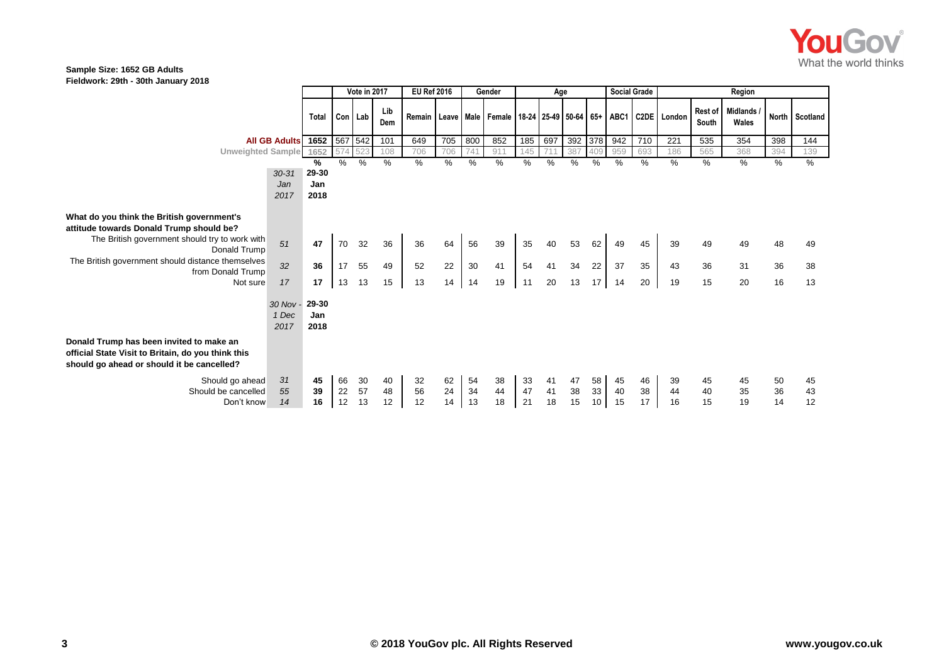

### **Sample Size: 1652 GB Adults Fieldwork: 29th - 30th January 2018**

|                                                                                                                                                                                                               |                            |                      | Vote in 2017 |     | <b>EU Ref 2016</b> |     | Gender |      | Age |     |     |         | <b>Social Grade</b> |      | Region |                                                                                     |                         |                          |     |                |
|---------------------------------------------------------------------------------------------------------------------------------------------------------------------------------------------------------------|----------------------------|----------------------|--------------|-----|--------------------|-----|--------|------|-----|-----|-----|---------|---------------------|------|--------|-------------------------------------------------------------------------------------|-------------------------|--------------------------|-----|----------------|
|                                                                                                                                                                                                               |                            | Total                | Con Lab      |     | Lib<br>Dem         |     |        |      |     |     |     |         |                     |      |        | Remain   Leave   Male   Female   18-24   25-49   50-64   65+   ABC1   C2DE   London | <b>Rest of</b><br>South | <b>Midlands</b><br>Wales |     | North Scotland |
|                                                                                                                                                                                                               | All GB Adults 1652 567 542 |                      |              |     | 101                | 649 | 705    | 800  | 852 | 185 | 697 | 392 378 |                     | 942  | 710    | 221                                                                                 | 535                     | 354                      | 398 | 144            |
| Unweighted Sample 1652                                                                                                                                                                                        |                            |                      | 574          | 523 | 108                | 706 | 706    | 741  | 911 | 145 |     | 387     | 409                 | 959  | 693    | 186                                                                                 | 565                     | 368                      | 394 | 139            |
|                                                                                                                                                                                                               |                            | ℅                    | %            | %   | %                  | %   | %      | $\%$ | %   | %   | %   | %       | %                   | $\%$ | %      | %                                                                                   | %                       | $\%$                     | %   | %              |
|                                                                                                                                                                                                               | $30 - 31$                  | 29-30                |              |     |                    |     |        |      |     |     |     |         |                     |      |        |                                                                                     |                         |                          |     |                |
|                                                                                                                                                                                                               | Jan                        | Jan                  |              |     |                    |     |        |      |     |     |     |         |                     |      |        |                                                                                     |                         |                          |     |                |
|                                                                                                                                                                                                               | 2017                       | 2018                 |              |     |                    |     |        |      |     |     |     |         |                     |      |        |                                                                                     |                         |                          |     |                |
| What do you think the British government's<br>attitude towards Donald Trump should be?<br>The British government should try to work with<br>Donald Trump<br>The British government should distance themselves | 51                         | 47                   | 70           | 32  | 36                 | 36  | 64     | 56   | 39  | 35  | 40  | 53      | 62                  | 49   | 45     | 39                                                                                  | 49                      | 49                       | 48  | 49             |
| from Donald Trump                                                                                                                                                                                             | 32                         | 36                   | 17           | 55  | 49                 | 52  | 22     | 30   | 41  | 54  | 41  | 34      | 22                  | 37   | 35     | 43                                                                                  | 36                      | 31                       | 36  | 38             |
| Not sure                                                                                                                                                                                                      | 17                         | 17                   | 13           | 13  | 15                 | 13  | 14     | 14   | 19  | 11  | 20  | 13      | 17 <sup>1</sup>     | 14   | 20     | 19                                                                                  | 15                      | 20                       | 16  | 13             |
|                                                                                                                                                                                                               | 30 Nov -<br>1 Dec<br>2017  | 29-30<br>Jan<br>2018 |              |     |                    |     |        |      |     |     |     |         |                     |      |        |                                                                                     |                         |                          |     |                |
| Donald Trump has been invited to make an<br>official State Visit to Britain, do you think this<br>should go ahead or should it be cancelled?                                                                  |                            |                      |              |     |                    |     |        |      |     |     |     |         |                     |      |        |                                                                                     |                         |                          |     |                |
| Should go ahead                                                                                                                                                                                               | 31                         | 45                   | 66           | 30  | 40                 | 32  | 62     | 54   | 38  | 33  | 41  | 47      | 58                  | 45   | 46     | 39                                                                                  | 45                      | 45                       | 50  | 45             |
| Should be cancelled                                                                                                                                                                                           | 55                         | 39                   | 22           | 57  | 48                 | 56  | 24     | 34   | 44  | 47  | 41  | 38      | 33                  | 40   | 38     | 44                                                                                  | 40                      | 35                       | 36  | 43             |
| Don't know                                                                                                                                                                                                    | 14                         | 16                   | 12           | 13  | 12                 | 12  | 14     | 13   | 18  | 21  | 18  | 15      | 10                  | 15   | 17     | 16                                                                                  | 15                      | 19                       | 14  | 12             |